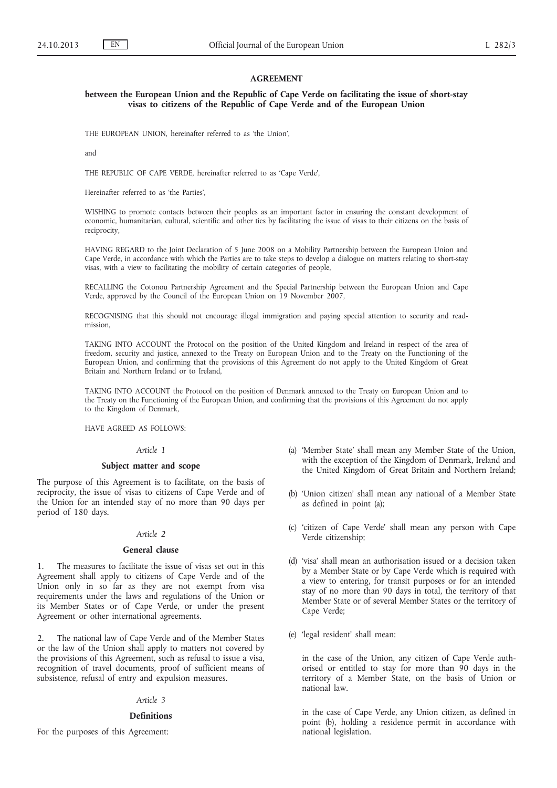## **AGREEMENT**

## **between the European Union and the Republic of Cape Verde on facilitating the issue of short-stay visas to citizens of the Republic of Cape Verde and of the European Union**

THE EUROPEAN UNION, hereinafter referred to as 'the Union',

and

THE REPUBLIC OF CAPE VERDE, hereinafter referred to as 'Cape Verde',

Hereinafter referred to as 'the Parties',

WISHING to promote contacts between their peoples as an important factor in ensuring the constant development of economic, humanitarian, cultural, scientific and other ties by facilitating the issue of visas to their citizens on the basis of reciprocity,

HAVING REGARD to the Joint Declaration of 5 June 2008 on a Mobility Partnership between the European Union and Cape Verde, in accordance with which the Parties are to take steps to develop a dialogue on matters relating to short-stay visas, with a view to facilitating the mobility of certain categories of people,

RECALLING the Cotonou Partnership Agreement and the Special Partnership between the European Union and Cape Verde, approved by the Council of the European Union on 19 November 2007,

RECOGNISING that this should not encourage illegal immigration and paying special attention to security and readmission,

TAKING INTO ACCOUNT the Protocol on the position of the United Kingdom and Ireland in respect of the area of freedom, security and justice, annexed to the Treaty on European Union and to the Treaty on the Functioning of the European Union, and confirming that the provisions of this Agreement do not apply to the United Kingdom of Great Britain and Northern Ireland or to Ireland,

TAKING INTO ACCOUNT the Protocol on the position of Denmark annexed to the Treaty on European Union and to the Treaty on the Functioning of the European Union, and confirming that the provisions of this Agreement do not apply to the Kingdom of Denmark,

HAVE AGREED AS FOLLOWS:

# *Article 1*

### **Subject matter and scope**

The purpose of this Agreement is to facilitate, on the basis of reciprocity, the issue of visas to citizens of Cape Verde and of the Union for an intended stay of no more than 90 days per period of 180 days.

#### *Article 2*

# **General clause**

1. The measures to facilitate the issue of visas set out in this Agreement shall apply to citizens of Cape Verde and of the Union only in so far as they are not exempt from visa requirements under the laws and regulations of the Union or its Member States or of Cape Verde, or under the present Agreement or other international agreements.

2. The national law of Cape Verde and of the Member States or the law of the Union shall apply to matters not covered by the provisions of this Agreement, such as refusal to issue a visa, recognition of travel documents, proof of sufficient means of subsistence, refusal of entry and expulsion measures.

#### *Article 3*

#### **Definitions**

For the purposes of this Agreement:

- (a) 'Member State' shall mean any Member State of the Union, with the exception of the Kingdom of Denmark, Ireland and the United Kingdom of Great Britain and Northern Ireland;
- (b) 'Union citizen' shall mean any national of a Member State as defined in point (a);
- (c) 'citizen of Cape Verde' shall mean any person with Cape Verde citizenship;
- (d) 'visa' shall mean an authorisation issued or a decision taken by a Member State or by Cape Verde which is required with a view to entering, for transit purposes or for an intended stay of no more than 90 days in total, the territory of that Member State or of several Member States or the territory of Cape Verde;
- (e) 'legal resident' shall mean:

in the case of the Union, any citizen of Cape Verde authorised or entitled to stay for more than 90 days in the territory of a Member State, on the basis of Union or national law.

in the case of Cape Verde, any Union citizen, as defined in point (b), holding a residence permit in accordance with national legislation.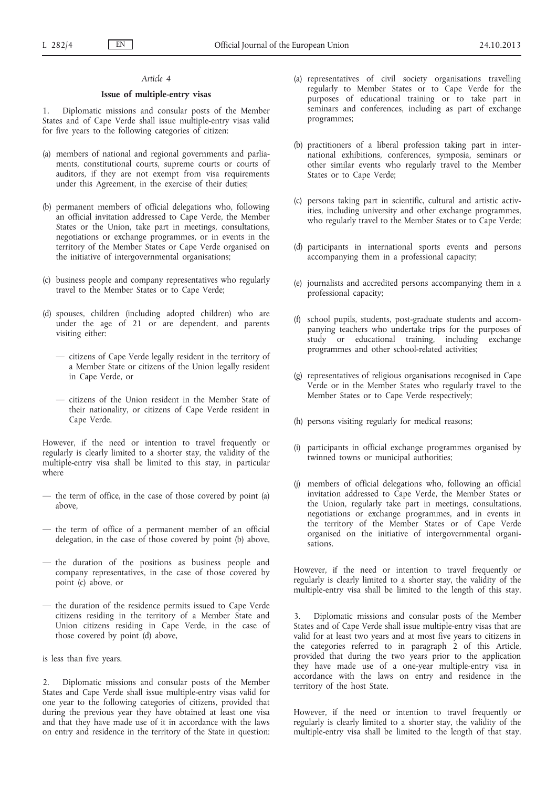### *Article 4*

# **Issue of multiple-entry visas**

1. Diplomatic missions and consular posts of the Member States and of Cape Verde shall issue multiple-entry visas valid for five years to the following categories of citizen:

- (a) members of national and regional governments and parliaments, constitutional courts, supreme courts or courts of auditors, if they are not exempt from visa requirements under this Agreement, in the exercise of their duties;
- (b) permanent members of official delegations who, following an official invitation addressed to Cape Verde, the Member States or the Union, take part in meetings, consultations, negotiations or exchange programmes, or in events in the territory of the Member States or Cape Verde organised on the initiative of intergovernmental organisations;
- (c) business people and company representatives who regularly travel to the Member States or to Cape Verde;
- (d) spouses, children (including adopted children) who are under the age of 21 or are dependent, and parents visiting either:
	- citizens of Cape Verde legally resident in the territory of a Member State or citizens of the Union legally resident in Cape Verde, or
	- citizens of the Union resident in the Member State of their nationality, or citizens of Cape Verde resident in Cape Verde.

However, if the need or intention to travel frequently or regularly is clearly limited to a shorter stay, the validity of the multiple-entry visa shall be limited to this stay, in particular where

- the term of office, in the case of those covered by point (a) above,
- the term of office of a permanent member of an official delegation, in the case of those covered by point (b) above,
- the duration of the positions as business people and company representatives, in the case of those covered by point (c) above, or
- the duration of the residence permits issued to Cape Verde citizens residing in the territory of a Member State and Union citizens residing in Cape Verde, in the case of those covered by point (d) above,

is less than five years.

2. Diplomatic missions and consular posts of the Member States and Cape Verde shall issue multiple-entry visas valid for one year to the following categories of citizens, provided that during the previous year they have obtained at least one visa and that they have made use of it in accordance with the laws on entry and residence in the territory of the State in question:

- (a) representatives of civil society organisations travelling regularly to Member States or to Cape Verde for the purposes of educational training or to take part in seminars and conferences, including as part of exchange programmes;
- (b) practitioners of a liberal profession taking part in international exhibitions, conferences, symposia, seminars or other similar events who regularly travel to the Member States or to Cape Verde;
- (c) persons taking part in scientific, cultural and artistic activities, including university and other exchange programmes, who regularly travel to the Member States or to Cape Verde;
- (d) participants in international sports events and persons accompanying them in a professional capacity;
- (e) journalists and accredited persons accompanying them in a professional capacity;
- (f) school pupils, students, post-graduate students and accompanying teachers who undertake trips for the purposes of study or educational training, including exchange programmes and other school-related activities;
- (g) representatives of religious organisations recognised in Cape Verde or in the Member States who regularly travel to the Member States or to Cape Verde respectively;
- (h) persons visiting regularly for medical reasons;
- (i) participants in official exchange programmes organised by twinned towns or municipal authorities;
- (j) members of official delegations who, following an official invitation addressed to Cape Verde, the Member States or the Union, regularly take part in meetings, consultations, negotiations or exchange programmes, and in events in the territory of the Member States or of Cape Verde organised on the initiative of intergovernmental organisations.

However, if the need or intention to travel frequently or regularly is clearly limited to a shorter stay, the validity of the multiple-entry visa shall be limited to the length of this stay.

3. Diplomatic missions and consular posts of the Member States and of Cape Verde shall issue multiple-entry visas that are valid for at least two years and at most five years to citizens in the categories referred to in paragraph 2 of this Article, provided that during the two years prior to the application they have made use of a one-year multiple-entry visa in accordance with the laws on entry and residence in the territory of the host State.

However, if the need or intention to travel frequently or regularly is clearly limited to a shorter stay, the validity of the multiple-entry visa shall be limited to the length of that stay.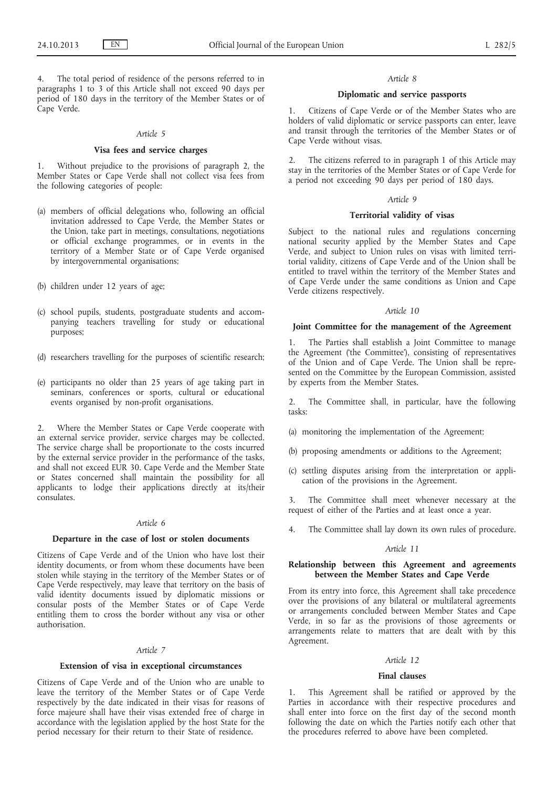The total period of residence of the persons referred to in paragraphs 1 to 3 of this Article shall not exceed 90 days per period of 180 days in the territory of the Member States or of Cape Verde.

#### *Article 5*

# **Visa fees and service charges**

1. Without prejudice to the provisions of paragraph 2, the Member States or Cape Verde shall not collect visa fees from the following categories of people:

- (a) members of official delegations who, following an official invitation addressed to Cape Verde, the Member States or the Union, take part in meetings, consultations, negotiations or official exchange programmes, or in events in the territory of a Member State or of Cape Verde organised by intergovernmental organisations;
- (b) children under 12 years of age;
- (c) school pupils, students, postgraduate students and accompanying teachers travelling for study or educational purposes;
- (d) researchers travelling for the purposes of scientific research;
- (e) participants no older than 25 years of age taking part in seminars, conferences or sports, cultural or educational events organised by non-profit organisations.

2. Where the Member States or Cape Verde cooperate with an external service provider, service charges may be collected. The service charge shall be proportionate to the costs incurred by the external service provider in the performance of the tasks, and shall not exceed EUR 30. Cape Verde and the Member State or States concerned shall maintain the possibility for all applicants to lodge their applications directly at its/their consulates.

### *Article 6*

## **Departure in the case of lost or stolen documents**

Citizens of Cape Verde and of the Union who have lost their identity documents, or from whom these documents have been stolen while staying in the territory of the Member States or of Cape Verde respectively, may leave that territory on the basis of valid identity documents issued by diplomatic missions or consular posts of the Member States or of Cape Verde entitling them to cross the border without any visa or other authorisation.

#### *Article 7*

#### **Extension of visa in exceptional circumstances**

Citizens of Cape Verde and of the Union who are unable to leave the territory of the Member States or of Cape Verde respectively by the date indicated in their visas for reasons of force majeure shall have their visas extended free of charge in accordance with the legislation applied by the host State for the period necessary for their return to their State of residence.

#### *Article 8*

# **Diplomatic and service passports**

1. Citizens of Cape Verde or of the Member States who are holders of valid diplomatic or service passports can enter, leave and transit through the territories of the Member States or of Cape Verde without visas.

2. The citizens referred to in paragraph 1 of this Article may stay in the territories of the Member States or of Cape Verde for a period not exceeding 90 days per period of 180 days.

# *Article 9*

### **Territorial validity of visas**

Subject to the national rules and regulations concerning national security applied by the Member States and Cape Verde, and subject to Union rules on visas with limited territorial validity, citizens of Cape Verde and of the Union shall be entitled to travel within the territory of the Member States and of Cape Verde under the same conditions as Union and Cape Verde citizens respectively.

### *Article 10*

### **Joint Committee for the management of the Agreement**

1. The Parties shall establish a Joint Committee to manage the Agreement ('the Committee'), consisting of representatives of the Union and of Cape Verde. The Union shall be represented on the Committee by the European Commission, assisted by experts from the Member States.

2. The Committee shall, in particular, have the following tasks:

- (a) monitoring the implementation of the Agreement;
- (b) proposing amendments or additions to the Agreement;
- (c) settling disputes arising from the interpretation or application of the provisions in the Agreement.

3. The Committee shall meet whenever necessary at the request of either of the Parties and at least once a year.

4. The Committee shall lay down its own rules of procedure.

# *Article 11*

## **Relationship between this Agreement and agreements between the Member States and Cape Verde**

From its entry into force, this Agreement shall take precedence over the provisions of any bilateral or multilateral agreements or arrangements concluded between Member States and Cape Verde, in so far as the provisions of those agreements or arrangements relate to matters that are dealt with by this Agreement.

## *Article 12*

### **Final clauses**

This Agreement shall be ratified or approved by the Parties in accordance with their respective procedures and shall enter into force on the first day of the second month following the date on which the Parties notify each other that the procedures referred to above have been completed.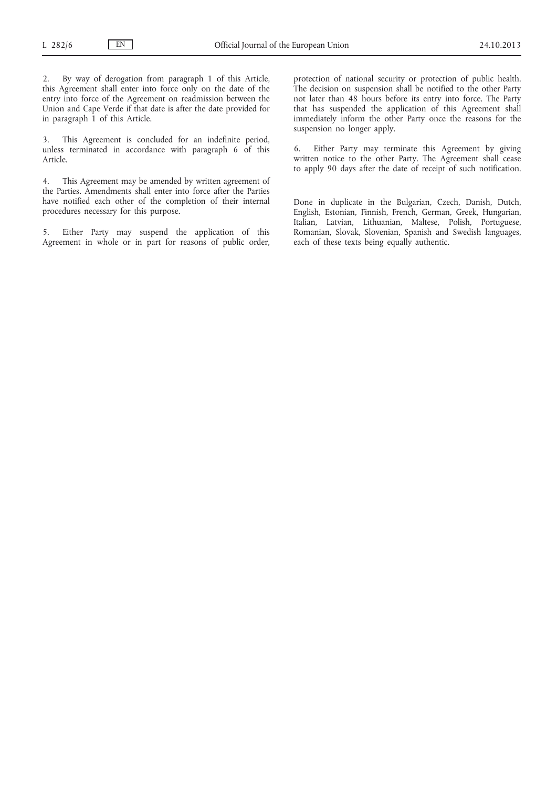2. By way of derogation from paragraph 1 of this Article, this Agreement shall enter into force only on the date of the entry into force of the Agreement on readmission between the Union and Cape Verde if that date is after the date provided for in paragraph  $\overline{1}$  of this Article.

3. This Agreement is concluded for an indefinite period, unless terminated in accordance with paragraph 6 of this Article.

4. This Agreement may be amended by written agreement of the Parties. Amendments shall enter into force after the Parties have notified each other of the completion of their internal procedures necessary for this purpose.

5. Either Party may suspend the application of this Agreement in whole or in part for reasons of public order, protection of national security or protection of public health. The decision on suspension shall be notified to the other Party not later than 48 hours before its entry into force. The Party that has suspended the application of this Agreement shall immediately inform the other Party once the reasons for the suspension no longer apply.

6. Either Party may terminate this Agreement by giving written notice to the other Party. The Agreement shall cease to apply 90 days after the date of receipt of such notification.

Done in duplicate in the Bulgarian, Czech, Danish, Dutch, English, Estonian, Finnish, French, German, Greek, Hungarian, Italian, Latvian, Lithuanian, Maltese, Polish, Portuguese, Romanian, Slovak, Slovenian, Spanish and Swedish languages, each of these texts being equally authentic.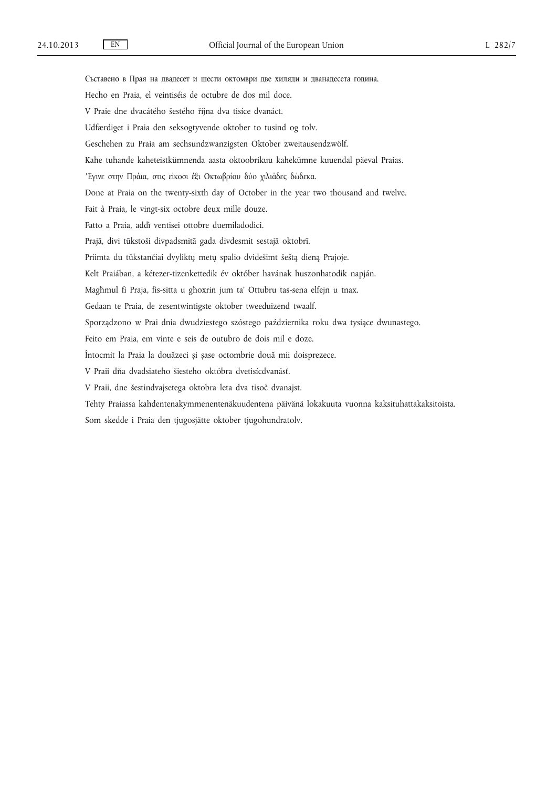Съставено в Прая на двадесет и шести октомври две хиляди и дванадесета година. Hecho en Praia, el veintiséis de octubre de dos mil doce. V Praie dne dvacátého šestého října dva tisíce dvanáct. Udfærdiget i Praia den seksogtyvende oktober to tusind og tolv. Geschehen zu Praia am sechsundzwanzigsten Oktober zweitausendzwölf. Kahe tuhande kaheteistkümnenda aasta oktoobrikuu kahekümne kuuendal päeval Praias. ′Εγινε στην Πράια, στις είκοσι έξι Οκτωβρίου δύο χιλιάδες δώδεκα. Done at Praia on the twenty-sixth day of October in the year two thousand and twelve. Fait à Praia, le vingt-six octobre deux mille douze. Fatto a Praia, addì ventisei ottobre duemiladodici. Prajā, divi tūkstoši divpadsmitā gada divdesmit sestajā oktobrī. Priimta du tūkstančiai dvyliktų metų spalio dvidešimt šeštą dieną Prajoje. Kelt Praiában, a kétezer-tizenkettedik év október havának huszonhatodik napján. Magħmul fi Praja, fis-sitta u għoxrin jum ta' Ottubru tas-sena elfejn u tnax. Gedaan te Praia, de zesentwintigste oktober tweeduizend twaalf. Sporządzono w Prai dnia dwudziestego szóstego października roku dwa tysiące dwunastego. Feito em Praia, em vinte e seis de outubro de dois mil e doze. Întocmit la Praia la douăzeci și șase octombrie două mii doisprezece. V Praii dňa dvadsiateho šiesteho októbra dvetisícdvanásť. V Praii, dne šestindvajsetega oktobra leta dva tisoč dvanajst. Tehty Praiassa kahdentenakymmenentenäkuudentena päivänä lokakuuta vuonna kaksituhattakaksitoista. Som skedde i Praia den tjugosjätte oktober tjugohundratolv.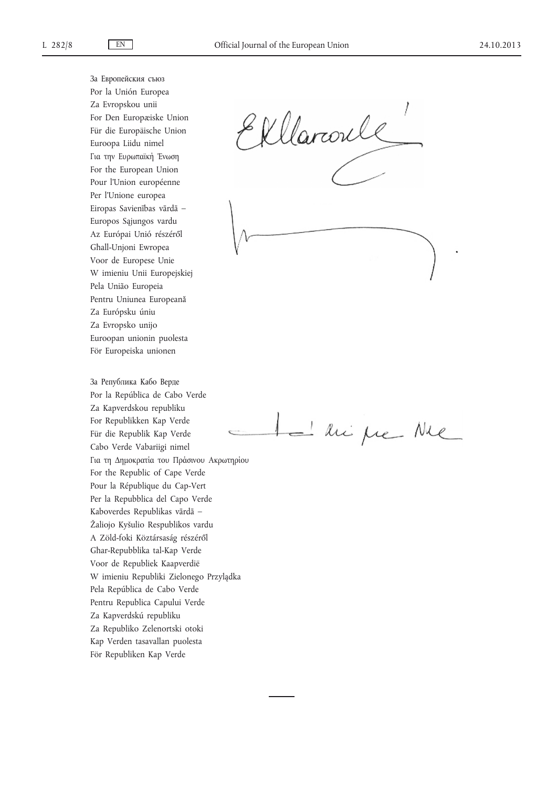За Европейския съюз Por la Unión Europea Za Evropskou unii For Den Europæiske Union Für die Europäische Union Euroopa Liidu nimel Για την Ευρωπαϊκή Ένωση For the European Union Pour l'Union européenne Per l'Unione europea Eiropas Savienības vārdā – Europos Sąjungos vardu Az Európai Unió részéről Għall-Unjoni Ewropea Voor de Europese Unie W imieniu Unii Europejskiej Pela União Europeia Pentru Uniunea Europeană Za Európsku úniu Za Evropsko unijo Euroopan unionin puolesta För Europeiska unionen

За Република Кабо Верде Por la República de Cabo Verde Za Kapverdskou republiku For Republikken Kap Verde Für die Republik Kap Verde Cabo Verde Vabariigi nimel Για τη Δημοκρατία του Πράσινου Ακρωτηρίου For the Republic of Cape Verde Pour la République du Cap-Vert Per la Repubblica del Capo Verde Kaboverdes Republikas vārdā – Žaliojo Kyšulio Respublikos vardu A Zöld-foki Köztársaság részéről Għar-Repubblika tal-Kap Verde Voor de Republiek Kaapverdië W imieniu Republiki Zielonego Przylądka Pela República de Cabo Verde Pentru Republica Capului Verde Za Kapverdskú republiku Za Republiko Zelenortski otoki Kap Verden tasavallan puolesta För Republiken Kap Verde

Ellaroule

- his fre Nie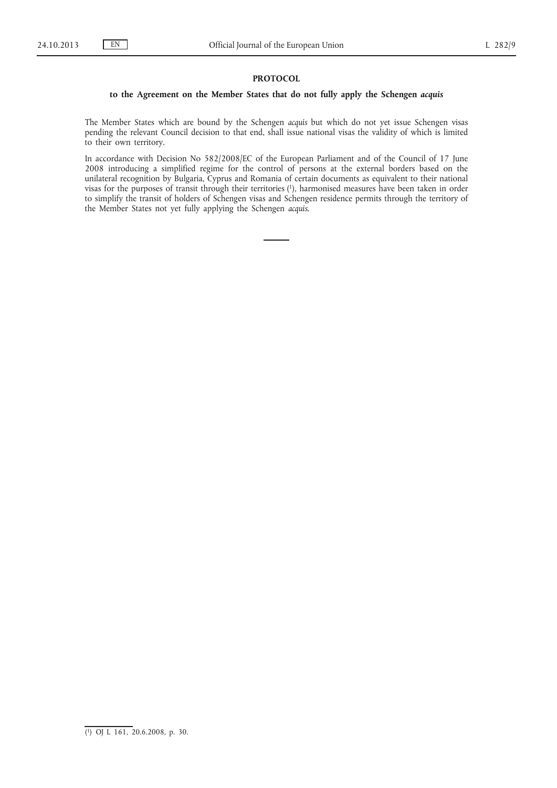## **PROTOCOL**

# **to the Agreement on the Member States that do not fully apply the Schengen** *acquis*

The Member States which are bound by the Schengen *acquis* but which do not yet issue Schengen visas pending the relevant Council decision to that end, shall issue national visas the validity of which is limited to their own territory.

In accordance with Decision No 582/2008/EC of the European Parliament and of the Council of 17 June 2008 introducing a simplified regime for the control of persons at the external borders based on the unilateral recognition by Bulgaria, Cyprus and Romania of certain documents as equivalent to their national visas for the purposes of transit through their territories (1), harmonised measures have been taken in order to simplify the transit of holders of Schengen visas and Schengen residence permits through the territory of the Member States not yet fully applying the Schengen *acquis*.

<sup>(</sup> 1) OJ L 161, 20.6.2008, p. 30.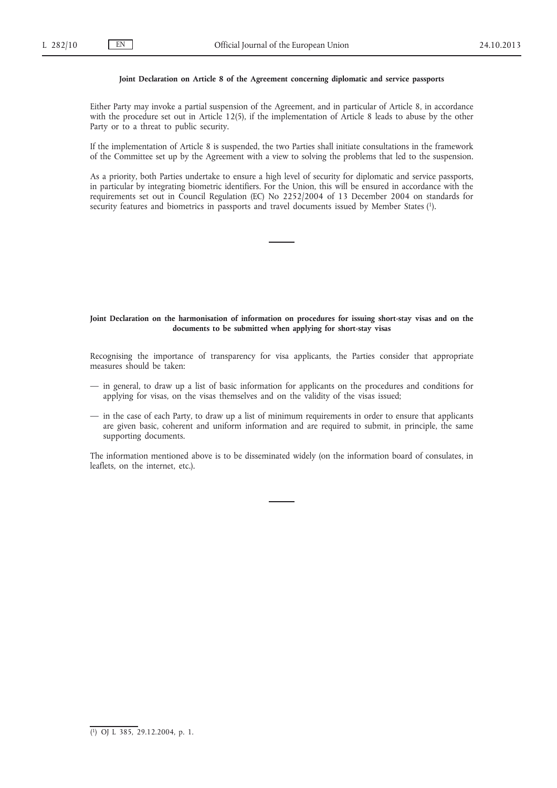## **Joint Declaration on Article 8 of the Agreement concerning diplomatic and service passports**

Either Party may invoke a partial suspension of the Agreement, and in particular of Article 8, in accordance with the procedure set out in Article 12(5), if the implementation of Article 8 leads to abuse by the other Party or to a threat to public security.

If the implementation of Article 8 is suspended, the two Parties shall initiate consultations in the framework of the Committee set up by the Agreement with a view to solving the problems that led to the suspension.

As a priority, both Parties undertake to ensure a high level of security for diplomatic and service passports, in particular by integrating biometric identifiers. For the Union, this will be ensured in accordance with the requirements set out in Council Regulation (EC) No 2252/2004 of 13 December 2004 on standards for security features and biometrics in passports and travel documents issued by Member States (1).

## **Joint Declaration on the harmonisation of information on procedures for issuing short-stay visas and on the documents to be submitted when applying for short-stay visas**

Recognising the importance of transparency for visa applicants, the Parties consider that appropriate measures should be taken:

- in general, to draw up a list of basic information for applicants on the procedures and conditions for applying for visas, on the visas themselves and on the validity of the visas issued;
- in the case of each Party, to draw up a list of minimum requirements in order to ensure that applicants are given basic, coherent and uniform information and are required to submit, in principle, the same supporting documents.

The information mentioned above is to be disseminated widely (on the information board of consulates, in leaflets, on the internet, etc.).

<sup>(</sup> 1) OJ L 385, 29.12.2004, p. 1.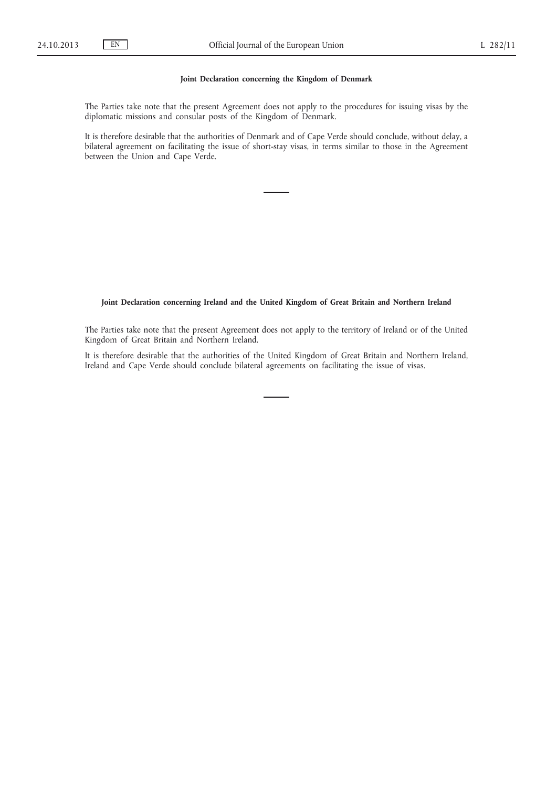## **Joint Declaration concerning the Kingdom of Denmark**

The Parties take note that the present Agreement does not apply to the procedures for issuing visas by the diplomatic missions and consular posts of the Kingdom of Denmark.

It is therefore desirable that the authorities of Denmark and of Cape Verde should conclude, without delay, a bilateral agreement on facilitating the issue of short-stay visas, in terms similar to those in the Agreement between the Union and Cape Verde.

# **Joint Declaration concerning Ireland and the United Kingdom of Great Britain and Northern Ireland**

The Parties take note that the present Agreement does not apply to the territory of Ireland or of the United Kingdom of Great Britain and Northern Ireland.

It is therefore desirable that the authorities of the United Kingdom of Great Britain and Northern Ireland, Ireland and Cape Verde should conclude bilateral agreements on facilitating the issue of visas.